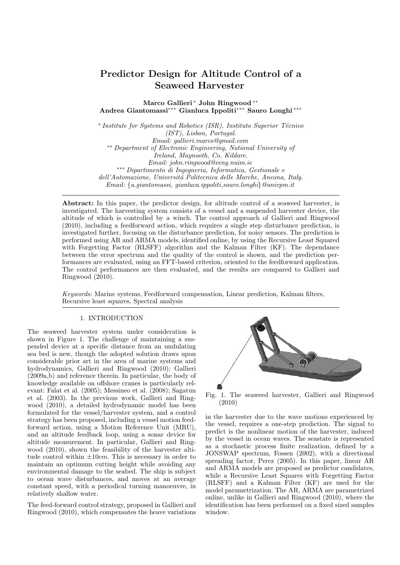# **Predictor Design for Altitude Control of a Seaweed Harvester**

**Marco Gallieri** *<sup>∗</sup>* **John Ringwood** *∗∗* **Andrea Giantomassi***∗∗∗* **Gianluca Ippoliti***∗∗∗* **Sauro Longhi** *∗∗∗*

*\** Institute for Systems and Robotics (ISR), Instituto Superior Técnico *(IST), Lisbon, Portugal. Email: gallieri.marco@gmail.com ∗∗ Department of Electronic Engineering, National University of Ireland, Maynooth, Co. Kildare. Email: john.ringwood@eeng.nuim.ie ∗∗∗ Dipartimento di Ingegneria, Informatica, Gestionale e dell'Automazione, Universit´a Politecnica delle Marche, Ancona, Italy. Email: {a.giantomassi, gianluca.ippoliti,sauro.longhi}@univpm.it*

Abstract: In this paper, the predictor design, for altitude control of a seaweed harvester, is investigated. The harvesting system consists of a vessel and a suspended harvester device, the altitude of which is controlled by a winch. The control approach of Gallieri and Ringwood (2010), including a feedforward action, which requires a single step disturbance prediction, is investigated further, focusing on the disturbance prediction, for noisy sensors. The prediction is performed using AR and ARMA models, identified online, by using the Recursive Least Squared with Forgetting Factor (RLSFF) algorithm and the Kalman Filter (KF). The dependance between the error spectrum and the quality of the control is shown, and the prediction performances are evaluated, using an FFT-based criterion, oriented to the feedforward application. The control performances are then evaluated, and the results are compared to Gallieri and Ringwood (2010).

*Keywords:* Marine systems, Feedforward compensation, Linear prediction, Kalman filters, Recursive least squares, Spectral analysis

### 1. INTRODUCTION

The seaweed harvester system under consideration is shown in Figure 1. The challenge of maintaining a suspended device at a specific distance from an undulating sea bed is new, though the adopted solution draws upon considerable prior art in the area of marine systems and hydrodynamics, Gallieri and Ringwood (2010); Gallieri (2009a,b) and reference therein. In particular, the body of knowledge available on offshore cranes is particularly relevant: Falat et al. (2005); Messineo et al. (2008); Sagatun et al. (2003). In the previous work, Gallieri and Ringwood (2010), a detailed hydrodynamic model has been formulated for the vessel/harvester system, and a control strategy has been proposed, including a vessel motion feedforward action, using a Motion Reference Unit (MRU), and an altitude feedback loop, using a sonar device for altitude measurement. In particular, Gallieri and Ringwood (2010), shown the feasibility of the harvester altitude control within *±*10*cm*. This is necessary in order to maintain an optimum cutting height while avoiding any environmental damage to the seabed. The ship is subject to ocean wave disturbances, and moves at an average constant speed, with a periodical turning manoeuvre, in relatively shallow water.

The feed-forward control strategy, proposed in Gallieri and Ringwood (2010), which compensates the heave variations



Fig. 1. The seaweed harvester, Gallieri and Ringwood (2010)

in the harvester due to the wave motions experienced by the vessel, requires a one-step prediction. The signal to predict is the nonlinear motion of the harvester, induced by the vessel in ocean waves. The seastate is represented as a stochastic process finite realization, defined by a JONSWAP spectrum, Fossen (2002), with a directional spreading factor, Perez (2005). In this paper, linear AR and ARMA models are proposed as predictor candidates, while a Recursive Least Squares with Forgetting Factor (RLSFF) and a Kalman Filter (KF) are used for the model parametrization. The AR, ARMA are parametrized online, unlike in Gallieri and Ringwood (2010), where the identification has been performed on a fixed sized samples window.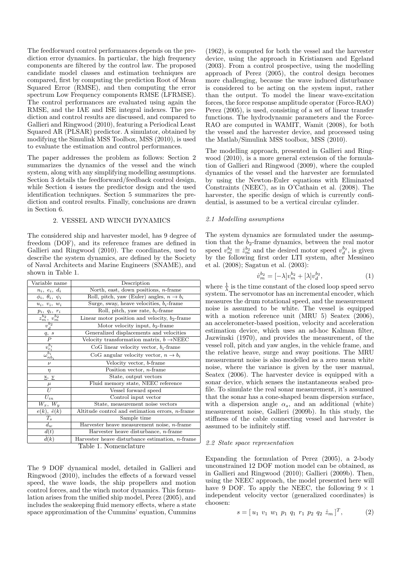The feedforward control performances depends on the prediction error dynamics. In particular, the high frequency components are filtered by the control law. The proposed candidate model classes and estimation techniques are compared, first by computing the prediction Root of Mean Squared Error (RMSE), and then computing the error spectrum Low Frequency components RMSE (LFRMSE). The control performances are evaluated using again the RMSE, and the IAE and ISE integral indexes. The prediction and control results are discussed, and compared to Gallieri and Ringwood (2010), featuring a Periodical Least Squared AR (PLSAR) predictor. A simulator, obtained by modifying the Simulink MSS Toolbox, MSS (2010), is used to evaluate the estimation and control performances.

The paper addresses the problem as follows: Section 2 summarizes the dynamics of the vessel and the winch system, along with any simplifying modelling assumptions. Section 3 details the feedforward/feedback control design, while Section 4 issues the predictor design and the used identification techniques. Section 5 summarizes the prediction and control results. Finally, conclusions are drawn in Section 6.

## 2. VESSEL AND WINCH DYNAMICS

The considered ship and harvester model, has 9 degree of freedom (DOF), and its reference frames are defined in Gallieri and Ringwood (2010). The coordinates, used to describe the system dynamics, are defined by the Society of Naval Architects and Marine Engineers (SNAME), and shown in Table 1.

| Variable name                         | Description                                                 |  |  |  |
|---------------------------------------|-------------------------------------------------------------|--|--|--|
| $n_i, e_i, d_i$                       | North, east, down positions, $n$ -frame                     |  |  |  |
| $\phi_i, \theta_i, \psi_i$            | Roll, pitch, yaw (Euler) angles, $n \rightarrow b_i$        |  |  |  |
| $u_i, v_i, w_i$                       | Surge, sway, heave velocities, $b_i$ -frame                 |  |  |  |
| $p_i, q_i, r_i$                       | Roll, pitch, yaw rate, $b_i$ -frame                         |  |  |  |
| $z_m$ , $v_m$                         | Linear motor position and velocity, $b_2$ -frame            |  |  |  |
| $v_{d}^{\overline{b_{2}}}$            | Motor velocity input, $b_2$ -frame                          |  |  |  |
| q, s                                  | Generalized displacements and velocities                    |  |  |  |
| $\overline{P}$                        | Velocity transformation matrix, $b \rightarrow \text{NEEC}$ |  |  |  |
|                                       | CoG linear velocity vector, $b_i$ -frame                    |  |  |  |
| $v^{b_i}_{c_i} \ \omega^{b_i}_{nb_i}$ | CoG angular velocity vector, $n \rightarrow b_i$            |  |  |  |
| $\nu$                                 | Velocity vector, b-frame                                    |  |  |  |
| $\eta$                                | Position vector, $n$ -frame                                 |  |  |  |
| ≚, у                                  | State, output vectors                                       |  |  |  |
| $\frac{\mu}{U}$                       | Fluid memory state, NEEC reference                          |  |  |  |
|                                       | Vessel forward speed                                        |  |  |  |
| $\bar{U}_{in}$                        | Control input vector                                        |  |  |  |
| $W_x$ , $W_y$                         | State, measurement noise vectors                            |  |  |  |
| $\overline{e(k)}, \ \hat{e}(k)$       | Altitude control and estimation errors, <i>n</i> -frame     |  |  |  |
| $T_s$                                 | Sample time                                                 |  |  |  |
| $d_w$                                 | Harvester heave measurement noise, $n$ -frame               |  |  |  |
| d(t)                                  | Harvester heave disturbance, <i>n</i> -frame                |  |  |  |
| d(k)                                  | Harvester heave disturbance estimation, <i>n</i> -frame     |  |  |  |
| Table 1 Nomonalatura                  |                                                             |  |  |  |

Table 1. Nomenclature

The 9 DOF dynamical model, detailed in Gallieri and Ringwood (2010), includes the effects of a forward vessel speed, the wave loads, the ship propellers and motion control forces, and the winch motor dynamics. This formulation arises from the unified ship model, Perez (2005), and includes the seakeeping fluid memory effects, where a state space approximation of the Cummins' equation, Cummins (1962), is computed for both the vessel and the harvester device, using the approach in Kristiansen and Egeland (2003). From a control prospective, using the modelling approach of Perez (2005), the control design becomes more challenging, because the wave induced disturbance is considered to be acting on the system input, rather than the output. To model the linear wave-excitation forces, the force response amplitude operator (Force-RAO) Perez (2005), is used, consisting of a set of linear transfer functions. The hydrodynamic parameters and the Force-RAO are computed in WAMIT, Wamit (2008), for both the vessel and the harvester device, and processed using the Matlab/Simulink MSS toolbox, MSS (2010).

The modelling approach, presented in Gallieri and Ringwood (2010), is a more general extension of the formulation of Gallieri and Ringwood (2009), where the coupled dynamics of the vessel and the harvester are formulated by using the Newton-Euler equations with Eliminated Constraints (NEEC), as in O'Cathain et al. (2008). The harvester, the specific design of which is currently confidential, is assumed to be a vertical circular cylinder.

# *2.1 Modelling assumptions*

The system dynamics are formulated under the assumption that the  $b_2$ -frame dynamics, between the real motor speed  $v_m^{b_2} \equiv \dot{z}_m^{b_2}$  and the desired motor speed  $v_d^{b_2}$ , is given by the following first order LTI system, after Messineo et al. (2008); Sagatun et al. (2003):

$$
\dot{v}_m^{b_2} = [-\lambda]v_m^{b_2} + [\lambda]v_d^{b_2},\tag{1}
$$

where  $\frac{1}{\lambda}$  is the time constant of the closed loop speed servo system. The servomotor has an incremental encoder, which measures the drum rotational speed, and the measurement noise is assumed to be white. The vessel is equipped with a motion reference unit (MRU 5) Seatex (2006), an accelerometer-based position, velocity and acceleration estimation device, which uses an ad-hoc Kalman filter, Jazwinski (1970), and provides the measurement, of the vessel roll, pitch and yaw angles, in the vehicle frame, and the relative heave, surge and sway positions. The MRU measurement noise is also modelled as a zero mean white noise, where the variance is given by the user manual, Seatex (2006). The harvester device is equipped with a sonar device, which senses the instantaneous seabed profile. To simulate the real sonar measurement, it's assumed that the sonar has a cone-shaped beam dispersion surface, with a dispersion angle  $\alpha_s$ , and an additional (white) measurement noise, Gallieri (2009b). In this study, the stiffness of the cable connecting vessel and harvester is assumed to be infinitely stiff.

# *2.2 State space representation*

Expanding the formulation of Perez (2005), a 2-body unconstrained 12 DOF motion model can be obtained, as in Gallieri and Ringwood (2010); Gallieri (2009b). Then, using the NEEC approach, the model presented here will have 9 DOF. To apply the NEEC, the following  $9 \times 1$ independent velocity vector (generalized coordinates) is choosen:

$$
s = [u_1 \ v_1 \ w_1 \ p_1 \ q_1 \ r_1 \ p_2 \ q_2 \ \dot{z}_m]^T, \tag{2}
$$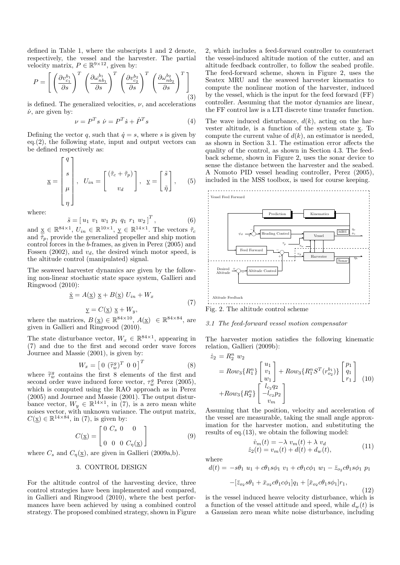defined in Table 1, where the subscripts 1 and 2 denote, respectively, the vessel and the harvester. The partial velocity matrix,  $P \in \mathbb{R}^{9 \times 12}$ , given by:

$$
P = \left[ \left( \frac{\partial v_{c_1}^{b_1}}{\partial s} \right)^T \left( \frac{\partial \omega_{nb_1}^{b_1}}{\partial s} \right)^T \left( \frac{\partial v_{c_2}^{b_2}}{\partial s} \right)^T \left( \frac{\partial \omega_{nb_2}^{b_2}}{\partial s} \right)^T \right] \tag{3}
$$

is defined. The generalized velocities,  $\nu$ , and accelerations  $\dot{\nu}$ , are given by:

$$
\nu = P^T s \dot{\nu} = P^T \dot{s} + \dot{P}^T s \tag{4}
$$

Defining the vector *q*, such that  $\dot{q} = s$ , where *s* is given by eq.(2), the following state, input and output vectors can be defined respectively as:

$$
\underline{x} = \begin{bmatrix} q \\ s \\ \mu \\ \eta \end{bmatrix}, \quad U_{in} = \begin{bmatrix} (\tilde{\tau}_c + \tilde{\tau}_p) \\ v_d \end{bmatrix}, \quad \underline{y} = \begin{bmatrix} \tilde{s} \\ \tilde{\eta} \end{bmatrix}, \quad (5)
$$

where:

$$
\tilde{s} = [u_1 \ v_1 \ w_1 \ p_1 \ q_1 \ r_1 \ w_2]^T, \tag{6}
$$

and  $\underline{x} \in \mathbb{R}^{84 \times 1}$ ,  $U_{in} \in \mathbb{R}^{10 \times 1}$ ,  $\underline{y} \in \mathbb{R}^{14 \times 1}$ . The vectors  $\tilde{\tau}_c$ and  $\tilde{\tau}_p$ , provide the generalized propeller and ship motion control forces in the *b*-frames, as given in Perez (2005) and Fossen  $(2002)$ , and  $v_d$ , the desired winch motor speed, is the altitude control (manipulated) signal.

The seaweed harvester dynamics are given by the following non-linear stochastic state space system, Gallieri and Ringwood (2010):

$$
\dot{\underline{x}} = A(\underline{x}) \underline{x} + B(\underline{x}) U_{in} + W_x
$$
  

$$
\underline{y} = C(\underline{x}) \underline{x} + W_y,
$$
 (7)

where the matrices,  $B(\underline{x}) \in \mathbb{R}^{84 \times 10}$ ,  $A(\underline{x}) \in \mathbb{R}^{84 \times 84}$ , are given in Gallieri and Ringwood (2010).

The state disturbance vector,  $W_x \in \mathbb{R}^{84 \times 1}$ , appearing in (7) and due to the first and second order wave forces Journee and Massie (2001), is given by:

$$
W_x = \begin{bmatrix} 0 & (\tilde{\tau}_w^g)^T & 0 & 0 \end{bmatrix}^T \tag{8}
$$

where  $\tilde{\tau}^g_w$  contains the first 8 elements of the first and<br>second order wave induced force yester  $\tau^g$  Perez (2005) second order wave induced force vector,  $τ_w^g$  Perez (2005), which is computed using the RAO approach as in Perez (2005) and Journee and Massie (2001). The output disturbance vector,  $W_y \in \mathbb{R}^{14 \times 1}$ , in (7), is a zero mean white noises vector, with unknown variance. The output matrix,  $C(\underline{x}) \in \mathbb{R}^{14 \times 84}$ , in (7), is given by:

$$
C(\underline{x}) = \begin{bmatrix} 0 & C_s & 0 & 0 \\ 0 & 0 & 0 & C_\eta(\underline{x}) \end{bmatrix}
$$
 (9)

where  $C_s$  and  $C_n(\underline{x})$ , are given in Gallieri (2009a,b).

# 3. CONTROL DESIGN

For the altitude control of the harvesting device, three control strategies have been implemented and compared, in Gallieri and Ringwood (2010), where the best performances have been achieved by using a combined control strategy. The proposed combined strategy, shown in Figure

2, which includes a feed-forward controller to counteract the vessel-induced altitude motion of the cutter, and an altitude feedback controller, to follow the seabed profile. The feed-forward scheme, shown in Figure 2, uses the Seatex MRU and the seaweed harvester kinematics to compute the nonlinear motion of the harvester, induced by the vessel, which is the input for the feed forward (FF) controller. Assuming that the motor dynamics are linear, the FF control law is a LTI discrete time transfer function.

The wave induced disturbance,  $d(k)$ , acting on the harvester altitude, is a function of the system state x. To compute the current value of  $d(k)$ , an estimator is needed, as shown in Section 3.1. The estimation error affects the quality of the control, as shown in Section 4.3. The feedback scheme, shown in Figure 2, uses the sonar device to sense the distance between the harvester and the seabed. A Nomoto PID vessel heading controller, Perez (2005), included in the MSS toolbox, is used for course keeping.



Fig. 2. The altitude control scheme

#### *3.1 The feed-forward vessel motion compensator*

The harvester motion satisfies the following kinematic relation, Gallieri (2009b):

$$
\dot{z}_2 = R_2^n w_2
$$
\n
$$
= Row_3\{R_1^n\} \begin{bmatrix} u_1 \\ v_1 \\ w_1 \end{bmatrix} + Row_3\{R_1^n S^T(r_{o_2}^{b_1})\} \begin{bmatrix} p_1 \\ q_1 \\ r_1 \end{bmatrix}
$$
\n
$$
+ Row_3\{R_2^n\} \begin{bmatrix} l_{c_2}q_2 \\ -l_{c_2}p_2 \\ v_m \end{bmatrix}
$$
\n(10)

Assuming that the position, velocity and acceleration of the vessel are measurable, taking the small angle approximation for the harvester motion, and substituting the results of eq.(13), we obtain the following model:

$$
\begin{aligned}\n\dot{v}_m(t) &= -\lambda \ v_m(t) + \lambda \ v_d \\
\dot{z}_2(t) &= v_m(t) + d(t) + d_w(t),\n\end{aligned} \tag{11}
$$

where

 $d(t) = -s\theta_1 u_1 + c\theta_1 s\phi_1 v_1 + c\theta_1 c\phi_1 w_1 - \bar{z}_{o_2} c\theta_1 s\phi_1 p_1$ 

$$
-[\bar{z}_{o_2} s\theta_1 + \bar{x}_{o_2} c\theta_1 c\phi_1]q_1 + [\bar{x}_{o_2} c\theta_1 s\phi_1]r_1,
$$
 (12)

(12) is the vessel induced heave velocity disturbance, which is a function of the vessel attitude and speed, while  $d_w(t)$  is a Gaussian zero mean white noise disturbance, including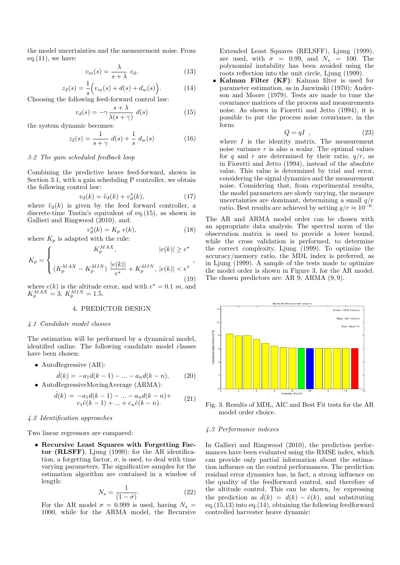the model uncertainties and the measurement noise. From eq. $(11)$ , we have:

$$
v_m(s) = \frac{\lambda}{s + \lambda} v_d,
$$
\n(13)

$$
z_2(s) = \frac{1}{s} \left( v_m(s) + d(s) + d_w(s) \right).
$$
 (14)

Choosing the following feed-forward control law:

$$
v_d(s) = -\gamma \frac{s + \lambda}{\lambda(s + \gamma)} d(s)
$$
 (15)

the system dynamic becomes:

$$
z_2(s) = \frac{1}{s + \gamma} d(s) + \frac{1}{s} d_w(s)
$$
 (16)

### *3.2 The gain scheduled feedback loop*

Combining the predictive heave feed-forward, shown in Section 3.1, with a gain scheduling P controller, we obtain the following control law:

$$
v_d(k) = \tilde{v}_d(k) + v_d^{\star}(k),\tag{17}
$$

where  $\tilde{v}_d(k)$  is given by the feed forward controller, a discrete-time Tustin's equivalent of eq.(15), as shown in Gallieri and Ringwood (2010), and:

$$
v_d^{\star}(k) = K_p \ e(k), \tag{18}
$$

where  $K_p$  is adapted with the rule:

$$
K_{p} = \begin{cases} K_{p}^{MAX}, & |e(k)| \ge e^{\star} \\ (K_{p}^{MAX} - K_{p}^{MIN}) \frac{|e(k)|}{e^{\star}} + K_{p}^{MIN}, |e(k)| < e^{\star} \end{cases}
$$
\n(19)

where  $e(k)$  is the altitude error, and with  $e^* = 0.1$  *m*, and  $K_p^{MAX} = 3, K_p^{MIN} = 1.5.$ 

## 4. PREDICTOR DESIGN

### *4.1 Candidate model classes*

The estimation will be performed by a dynamical model, identified online. The following candidate model classes have been chosen:

\n- AutoRegression (AR):
\n- $$
\hat{d}(k) = -a_1 d(k-1) - \dots - a_n d(k-n),
$$
\n
\n- AutoRegressionMovingAverage (ARMA):
\n

$$
\hat{d}(k) = -a_1 d(k-1) - \dots - a_n d(k-n) + \nc_1 \hat{e}(k-1) + \dots + c_n \hat{e}(k-n).
$$
\n(21)

### *4.2 Identification approaches*

Two linear regressors are compared:

*•* **Recursive Least Squares with Forgetting Factor (RLSFF)**, Ljung (1999): for the AR identification, a forgetting factor,  $\sigma$ , is used, to deal with time varying parameters. The significative samples for the estimation algorithm are contained in a window of length:

$$
N_s = \frac{1}{(1 - \sigma)}.\t(22)
$$

For the AR model  $\sigma = 0.999$  is used, having  $N_s =$ 1000, while for the ARMA model, the Recursive

Extended Least Squares (RELSFF), Ljung (1999), are used, with  $\sigma = 0.99$ , and  $N_s = 100$ . The polynomial instability has been avoided using the roots reflection into the unit circle, Ljung (1999).

*•* **Kalman Filter (KF)**: Kalman filter is used for parameter estimation, as in Jazwinski (1970); Anderson and Moore (1979). Tests are made to tune the covariance matrices of the process and measurements noise. As shown in Fioretti and Jetto (1994), it is possible to put the process noise covariance, in the form:

$$
Q = qI \t{3}
$$

where  $I$  is the identity matrix. The measurement noise variance *r* is also a scalar. The optimal values for *q* and *r* are determined by their ratio,  $q/r$ , as in Fioretti and Jetto (1994), instead of the absolute value. This value is determined by trial and error, considering the signal dynamics and the measurement noise. Considering that, from experimental results, the model parameters are slowly varying, the measure uncertainties are dominant, determining a small *q/r* ratio. Best results are achieved by setting  $q/r \approx 10^{-6}$ .

The AR and ARMA model order can be chosen with an appropriate data analysis. The spectral norm of the observation matrix is used to provide a lower bound, while the cross validation is performed, to determine the correct complexity, Ljung (1999). To optimize the accuracy/memory ratio, the MDL index is preferred, as in Ljung (1999). A sample of the tests made to optimize the model order is shown in Figure 3, for the AR model. The chosen predictors are: AR 9, ARMA (9*,* 9).



Fig. 3. Results of MDL, AIC and Best Fit tests for the AR model order choice.

# *4.3 Performance indexes*

In Gallieri and Ringwood (2010), the prediction performances have been evaluated using the RMSE index, which can provide only partial information about the estimation influence on the control performances. The prediction residual error dynamics has, in fact, a strong influence on the quality of the feedforward control, and therefore of the altitude control. This can be shown, by expressing the prediction as  $\hat{d}(k) = d(k) - \hat{e}(k)$ , and substituting eq. $(15,13)$  into eq. $(14)$ , obtaining the following feedforward controlled harvester heave dynamic: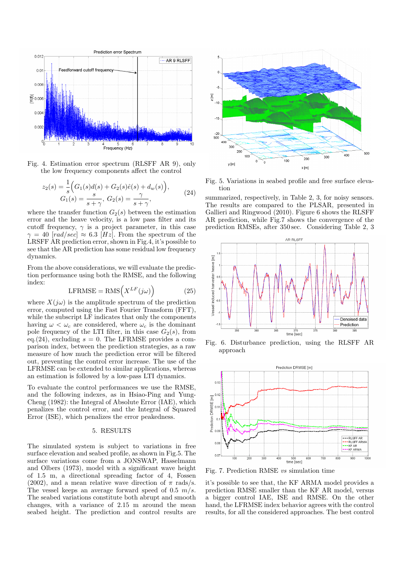

Fig. 4. Estimation error spectrum (RLSFF AR 9), only the low frequency components affect the control

$$
z_2(s) = \frac{1}{s} \Big( G_1(s) d(s) + G_2(s) \hat{e}(s) + d_w(s) \Big),
$$
  
\n
$$
G_1(s) = \frac{s}{s + \gamma}, \ G_2(s) = \frac{\gamma}{s + \gamma},
$$
\n(24)

where the transfer function  $G_2(s)$  between the estimation error and the heave velocity, is a low pass filter and its cutoff frequency,  $\gamma$  is a project parameter, in this case  $\gamma = 40$  [*rad/sec*]  $\approx 6.3$  [*Hz*]. From the spectrum of the LRSFF AR prediction error, shown in Fig.4, it's possible to see that the AR prediction has some residual low frequency dynamics.

From the above considerations, we will evaluate the prediction performance using both the RMSE, and the following index:

$$
LFRMSE = RMS(X^{LF}(j\omega))
$$
 (25)

where  $X(j\omega)$  is the amplitude spectrum of the prediction error, computed using the Fast Fourier Transform (FFT), while the subscript LF indicates that only the components having  $\omega < \omega_c$  are considered, where  $\omega_c$  is the dominant pole frequency of the LTI filter, in this case  $G_2(s)$ , from eq.(24), excluding  $s = 0$ . The LFRMSE provides a comparison index, between the prediction strategies, as a raw measure of how much the prediction error will be filtered out, preventing the control error increase. The use of the LFRMSE can be extended to similar applications, whereas an estimation is followed by a low-pass LTI dynamics.

To evaluate the control performances we use the RMSE, and the following indexes, as in Hsiao-Ping and Yung-Cheng (1982): the Integral of Absolute Error (IAE), which penalizes the control error, and the Integral of Squared Error (ISE), which penalizes the error peakedness.

# 5. RESULTS

The simulated system is subject to variations in free surface elevation and seabed profile, as shown in Fig.5. The surface variations come from a JONSWAP, Hasselmann and Olbers (1973), model with a significant wave height of 1*.*5 m, a directional spreading factor of 4, Fossen (2002), and a mean relative wave direction of  $\pi$  rads/s. The vessel keeps an average forward speed of 0*.*5 *m/s*. The seabed variations constitute both abrupt and smooth changes, with a variance of 2*.*15 m around the mean seabed height. The prediction and control results are



Fig. 5. Variations in seabed profile and free surface elevation

summarized, respectively, in Table 2, 3, for noisy sensors. The results are compared to the PLSAR, presented in Gallieri and Ringwood (2010). Figure 6 shows the RLSFF AR prediction, while Fig.7 shows the convergence of the prediction RMSEs, after 350 sec. Considering Table 2, 3



Fig. 6. Disturbance prediction, using the RLSFF AR approach



Fig. 7. Prediction RMSE *vs* simulation time

it's possible to see that, the KF ARMA model provides a prediction RMSE smaller than the KF AR model, versus a bigger control IAE, ISE and RMSE. On the other hand, the LFRMSE index behavior agrees with the control results, for all the considered approaches. The best control